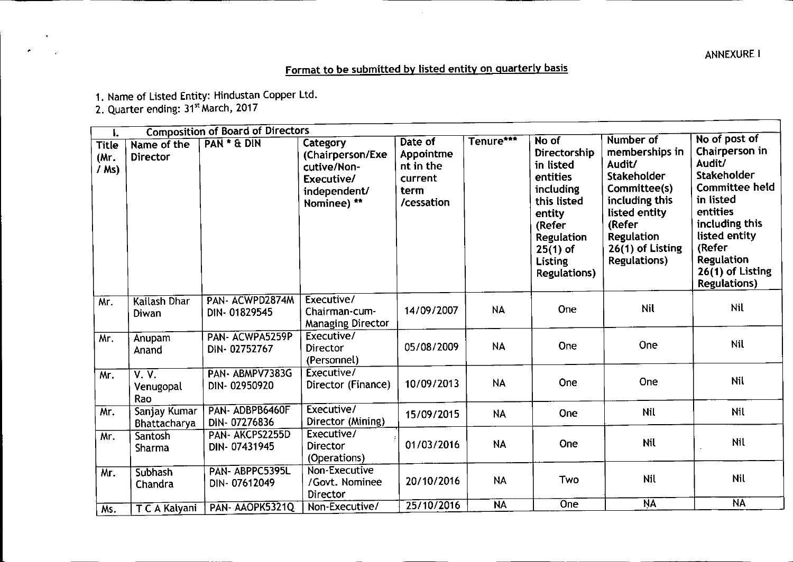ANNEXUREI

## Format to be submitted by listed entity on quarterly basis

1. Name of Listed Entity: Hindustan Copper Ltd.

2. Quarter ending: 31<sup>st</sup> March, 2017

•

| ۱.                              |                                | <b>Composition of Board of Directors</b> |                                                                                          |                                                                    |           |                                                                                                                                                                     |                                                                                                                                                                                   |                                                                                                                                                                                                                                 |
|---------------------------------|--------------------------------|------------------------------------------|------------------------------------------------------------------------------------------|--------------------------------------------------------------------|-----------|---------------------------------------------------------------------------------------------------------------------------------------------------------------------|-----------------------------------------------------------------------------------------------------------------------------------------------------------------------------------|---------------------------------------------------------------------------------------------------------------------------------------------------------------------------------------------------------------------------------|
| <b>Title</b><br>(Mг.<br>$/Ms$ ) | Name of the<br><b>Director</b> | PAN * & DIN                              | Category<br>(Chairperson/Exe<br>cutive/Non-<br>Executive/<br>independent/<br>Nominee) ** | Date of<br>Appointme<br>nt in the<br>current<br>term<br>/cessation | Tenure*** | No of<br>Directorship<br>in listed<br>entities<br>including<br>this listed<br>entity<br>(Refer<br>Regulation<br>$25(1)$ of<br><b>Listing</b><br><b>Regulations)</b> | Number of<br>memberships in<br>Audit/<br><b>Stakeholder</b><br>Committee(s)<br>including this<br>listed entity<br>(Refer<br>Regulation<br>26(1) of Listing<br><b>Regulations)</b> | No of post of<br>Chairperson in<br>Audit/<br><b>Stakeholder</b><br><b>Committee held</b><br>in listed<br>entities<br>including this<br>listed entity<br>(Refer<br><b>Regulation</b><br>26(1) of Listing<br><b>Regulations</b> ) |
| Mr.                             | Kailash Dhar<br>Diwan          | PAN-ACWPD2874M<br>DIN-01829545           | Executive/<br>Chairman-cum-<br><b>Managing Director</b>                                  | 14/09/2007                                                         | <b>NA</b> | One                                                                                                                                                                 | <b>Nil</b>                                                                                                                                                                        | <b>Nil</b>                                                                                                                                                                                                                      |
| Mr.                             | Anupam<br>Anand                | PAN-ACWPA5259P<br>DIN-02752767           | Executive/<br><b>Director</b><br>(Personnel)                                             | 05/08/2009                                                         | <b>NA</b> | One                                                                                                                                                                 | One                                                                                                                                                                               | <b>Nil</b>                                                                                                                                                                                                                      |
| Mr.                             | V. V.<br>Venugopal<br>Rao      | PAN-ABMPV7383G<br>DIN-02950920           | Executive/<br>Director (Finance)                                                         | 10/09/2013                                                         | <b>NA</b> | One                                                                                                                                                                 | One                                                                                                                                                                               | <b>Nil</b>                                                                                                                                                                                                                      |
| Mr.                             | Sanjay Kumar<br>Bhattacharya   | PAN-ADBPB6460F<br>DIN-07276836           | Executive/<br>Director (Mining)                                                          | 15/09/2015                                                         | <b>NA</b> | One                                                                                                                                                                 | <b>Nil</b>                                                                                                                                                                        | Nil                                                                                                                                                                                                                             |
| Mr.                             | Santosh<br>Sharma              | PAN- AKCPS2255D<br>DIN-07431945          | Executive/<br>Director<br>(Operations)                                                   | 01/03/2016                                                         | <b>NA</b> | One                                                                                                                                                                 | <b>Nil</b>                                                                                                                                                                        | <b>Nil</b>                                                                                                                                                                                                                      |
| Mr.                             | Subhash<br>Chandra             | PAN-ABPPC5395L<br>DIN-07612049           | Non-Executive<br>/Govt. Nominee<br>Director                                              | 20/10/2016                                                         | <b>NA</b> | Two                                                                                                                                                                 | <b>Nil</b>                                                                                                                                                                        | Nil                                                                                                                                                                                                                             |
| Ms.                             | T C A Kalyani                  | PAN-AAOPK5321Q                           | Non-Executive/                                                                           | 25/10/2016                                                         | <b>NA</b> | One                                                                                                                                                                 | <b>NA</b>                                                                                                                                                                         | $\overline{\mathsf{NA}}$                                                                                                                                                                                                        |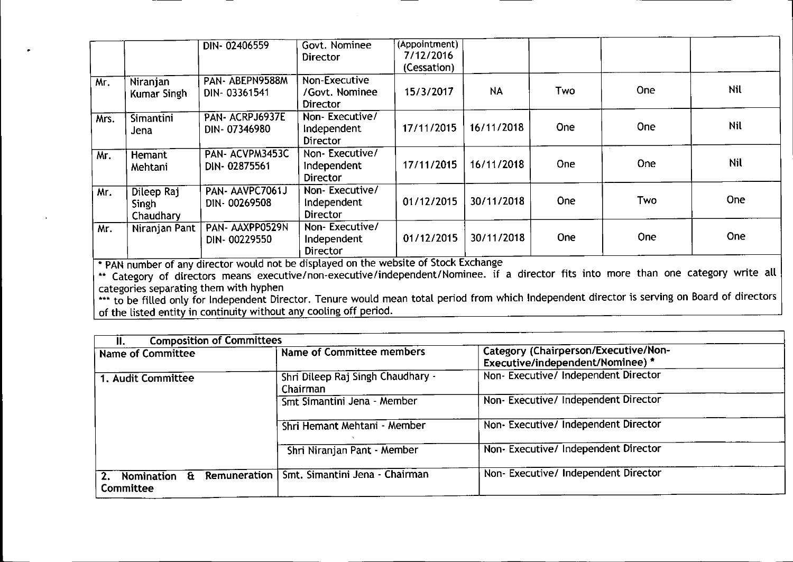|      |                                         | DIN-02406559                                                                                                            | Govt. Nominee<br><b>Director</b>                   | (Appointment)<br>7/12/2016<br>(Cessation) |            |            |            |            |
|------|-----------------------------------------|-------------------------------------------------------------------------------------------------------------------------|----------------------------------------------------|-------------------------------------------|------------|------------|------------|------------|
| Mr.  | Niranjan<br>Kumar Singh                 | PAN-ABEPN9588M<br>DIN-03361541                                                                                          | Non-Executive<br>/Govt. Nominee<br><b>Director</b> | 15/3/2017                                 | <b>NA</b>  | <b>Two</b> | One        | Nil        |
| Mrs. | Simantini<br>Jena                       | PAN- ACRPJ6937E<br>DIN-07346980                                                                                         | Non-Executive/<br>Independent<br>Director          | 17/11/2015                                | 16/11/2018 | One        | One        | <b>Nil</b> |
| Mr.  | Hemant<br>Mehtani                       | PAN-ACVPM3453C<br>DIN-02875561                                                                                          | Non-Executive/<br>Independent<br><b>Director</b>   | 17/11/2015                                | 16/11/2018 | One        | <b>One</b> | Nil        |
| Mr.  | Dileep Raj<br><b>Singh</b><br>Chaudhary | PAN-AAVPC7061J<br>DIN-00269508                                                                                          | Non-Executive/<br>Independent<br><b>Director</b>   | 01/12/2015                                | 30/11/2018 | One        | Two        | <b>One</b> |
| Mr.  | Niranjan Pant                           | PAN-AAXPP0529N<br>DIN-00229550<br>* BAN support of any director would not be displayed on the website of Stock Exchange | Non-Executive/<br>Independent<br><b>Director</b>   | 01/12/2015                                | 30/11/2018 | <b>One</b> | One        | <b>One</b> |

• PAN number of any director would not be displayed on the website of Stock Exchange

\*\* Category of directors means executive/non-executive/independent/Nominee. if a director fits into more than one category write all categories separating them with hyphen

\*\*\* to be filled only for Independent Director. Tenure would mean total period from which Independent director is serving on Board of director of the listed entity in continuity without any cooling off period

| <b>Composition of Committees</b><br>Ш.                           |                                               |                                                                          |
|------------------------------------------------------------------|-----------------------------------------------|--------------------------------------------------------------------------|
| <b>Name of Committee</b>                                         | <b>Name of Committee members</b>              | Category (Chairperson/Executive/Non-<br>Executive/independent/Nominee) * |
| 1. Audit Committee                                               | Shri Dileep Raj Singh Chaudhary -<br>Chairman | Non-Executive/Independent Director                                       |
|                                                                  | Smt Simantini Jena - Member                   | Non- Executive/ Independent Director                                     |
|                                                                  | Shri Hemant Mehtani - Member                  | Non- Executive/ Independent Director                                     |
|                                                                  | Shri Niranjan Pant - Member                   | Non-Executive/Independent Director                                       |
| Remuneration  <br><b>Nomination</b><br>$\mathbf{a}$<br>Committee | Smt. Simantini Jena - Chairman                | Non-Executive/Independent Director                                       |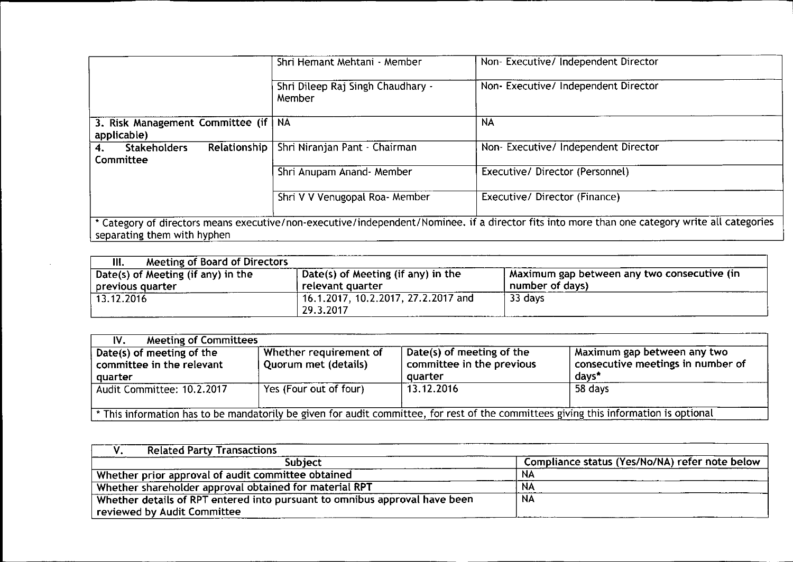|                                                      | Shri Hemant Mehtani - Member                | Non-Executive/Independent Director                                                                                                             |
|------------------------------------------------------|---------------------------------------------|------------------------------------------------------------------------------------------------------------------------------------------------|
|                                                      | Shri Dileep Raj Singh Chaudhary -<br>Member | Non-Executive/Independent Director                                                                                                             |
| 3. Risk Management Committee (if   NA<br>applicable) |                                             | <b>NA</b>                                                                                                                                      |
| Relationship<br><b>Stakeholders</b><br>Committee     | Shri Niranjan Pant - Chairman               | Non-Executive/ Independent Director                                                                                                            |
|                                                      | Shri Anupam Anand- Member                   | Executive/ Director (Personnel)                                                                                                                |
|                                                      | Shri V V Venugopal Roa- Member              | Executive/ Director (Finance)                                                                                                                  |
| separating them with hyphen                          |                                             | * Category of directors means executive/non-executive/independent/Nominee. if a director fits into more than one category write all categories |

| Meeting of Board of Directors<br>III.                  |                                                        |                                                                  |
|--------------------------------------------------------|--------------------------------------------------------|------------------------------------------------------------------|
| Date(s) of Meeting (if any) in the<br>previous quarter | Date(s) of Meeting (if any) in the<br>relevant quarter | Maximum gap between any two consecutive (in )<br>number of days) |
| 13.12.2016                                             | $'$ 16.1.2017, 10.2.2017, 27.2.2017 and<br>29.3.2017   | 33 days                                                          |

| <b>Meeting of Committees</b><br>IV.                                                                                                   |                                                |                                                                   |                                                                           |  |  |
|---------------------------------------------------------------------------------------------------------------------------------------|------------------------------------------------|-------------------------------------------------------------------|---------------------------------------------------------------------------|--|--|
| Date(s) of meeting of the<br>committee in the relevant<br>quarter                                                                     | Whether requirement of<br>Quorum met (details) | Date(s) of meeting of the<br>committee in the previous<br>quarter | Maximum gap between any two<br>consecutive meetings in number of<br>days* |  |  |
| Audit Committee: 10.2.2017                                                                                                            | Yes (Four out of four)                         | 13, 12, 2016                                                      | 58 days                                                                   |  |  |
| * This information has to be mandatorily be given for audit committee, for rest of the committees giving this information is optional |                                                |                                                                   |                                                                           |  |  |

| <b>Related Party Transactions</b>                                          |                                                |
|----------------------------------------------------------------------------|------------------------------------------------|
| <b>Subject</b>                                                             | Compliance status (Yes/No/NA) refer note below |
| Whether prior approval of audit committee obtained                         | NА                                             |
| Whether shareholder approval obtained for material RPT                     | NA                                             |
| Whether details of RPT entered into pursuant to omnibus approval have been | <b>NA</b>                                      |
| reviewed by Audit Committee                                                |                                                |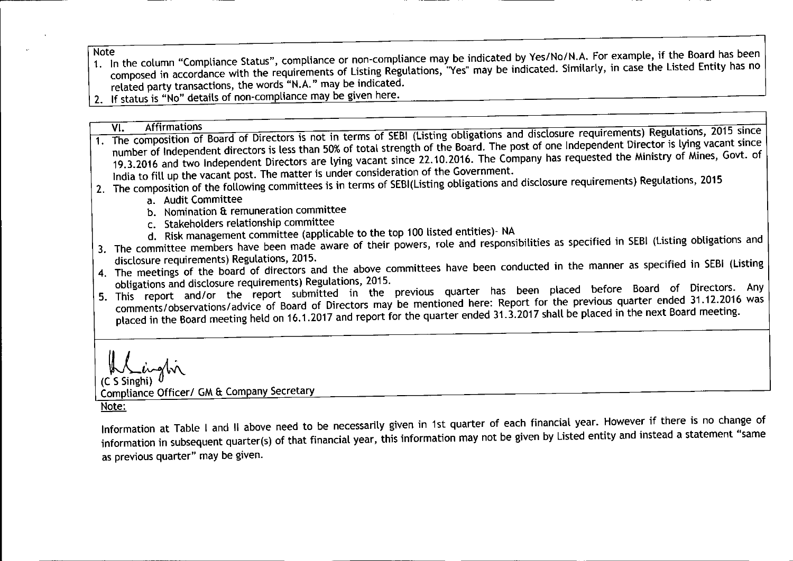- Note<br>1. In the column "Compliance Status", compliance or non-compliance may be indicated by Yes/No/N.A. For example, if the Board has been composed in accordance with the requirements of Listing Regulations, "Yes" may be indicated. Similarly, in case the Listed Entity has no related party transactions, the words "N.A." may be indicated.
- 2. If status is "No" details of non-compliance may be given here.

- VI. Affirmations<br>1. The composition of Board of Directors is not in terms of SEBI (Listing obligations and disclosure requirements) Regulations, 2015 since number of Independent directors is less than 50%of total strength of the Board. The post of one Independent Director is lying vacant since 19.3.2016 and two Independent Directors are lying vacant since 22.10.2016. The Company has requested the Ministry of Mines, Govt. of India to fill up the vacant post. The matter is under consideration of the Government.
- 2. The composition of the following committees is in terms of SEBI(Listing obligations and disclosure requirements) Regulations, 2015
	- a. Audit Committee
	- b. Nomination & remuneration committee
	- c. Stakeholders relationship committee
	- d. Risk management committee (applicable to the top 100 listed entities)- NA
- 3. The committee members have been made aware of their powers, role and responsibilities as specified in SEBI (Listing obligations and disclosure requirements) Regulations, 2015.
- 4. The meetings of the board of directors and the above committees have been conducted in the manner as specified in SEBI (Listing obligations and disclosure requirements) Regulations, 2015.
- 5. This report and/or the report submitted in the previous quarter has been placed before Board of Directors. Any comments/observations/advice of Board of Directors may be mentioned here: Report for the previous quarter ended 31.12.2016 was placed in the Board meeting held on 16.1.2017 and report for the quarter ended 31.3.2017 shall be placed in the next Board meeting.

(C S Singhi) A Linglin

Compliance Officer/ GM & Company Secretary

Note:

Information at Table I and II above need to be necessarily given in 1st quarter of each financial year. However if there is no change of information in subsequent quarter(s) of that financial year, this information may not be given by Listed entity and instead a statement "same as previous quarter" may be given.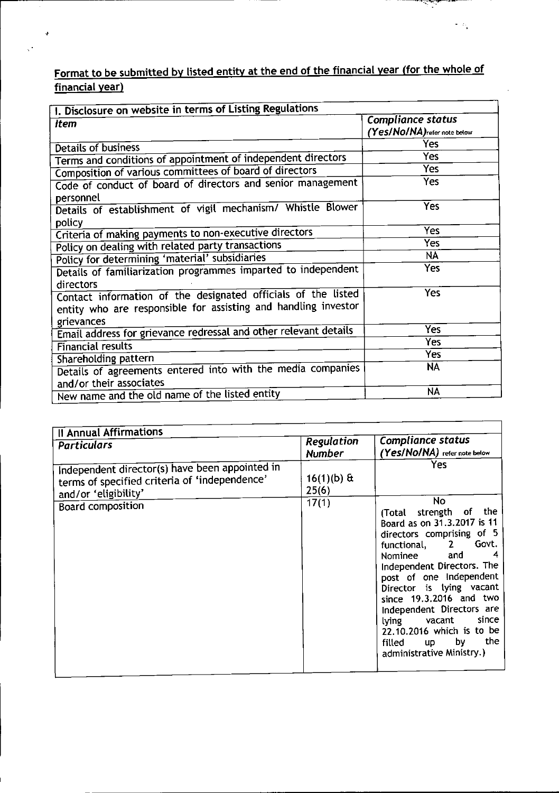## Format to be submitted by listed entity at the end of the financial year (for the whole of financial year)

J.

.~-.

 $\sim \lambda_1$ 

| I. Disclosure on website in terms of Listing Regulations                                                                                     |                                                   |  |  |  |  |
|----------------------------------------------------------------------------------------------------------------------------------------------|---------------------------------------------------|--|--|--|--|
| <b>Item</b>                                                                                                                                  | Compliance status<br>(Yes/No/NA) refer note below |  |  |  |  |
| Details of business                                                                                                                          | Yes                                               |  |  |  |  |
| Terms and conditions of appointment of independent directors                                                                                 | Yes                                               |  |  |  |  |
| Composition of various committees of board of directors                                                                                      | <b>Yes</b>                                        |  |  |  |  |
| Code of conduct of board of directors and senior management<br>personnel                                                                     | Yes                                               |  |  |  |  |
| Details of establishment of vigil mechanism/ Whistle Blower<br>policy                                                                        | Yes                                               |  |  |  |  |
| Criteria of making payments to non-executive directors                                                                                       | <b>Yes</b>                                        |  |  |  |  |
| Policy on dealing with related party transactions                                                                                            | Yes                                               |  |  |  |  |
| Policy for determining 'material' subsidiaries                                                                                               | NA                                                |  |  |  |  |
| Details of familiarization programmes imparted to independent                                                                                | Yes                                               |  |  |  |  |
| directors<br>Contact information of the designated officials of the listed<br>entity who are responsible for assisting and handling investor | Yes                                               |  |  |  |  |
| grievances                                                                                                                                   | Yes                                               |  |  |  |  |
| Email address for grievance redressal and other relevant details                                                                             | Yes                                               |  |  |  |  |
| <b>Financial results</b>                                                                                                                     | Yes                                               |  |  |  |  |
| Shareholding pattern                                                                                                                         |                                                   |  |  |  |  |
| Details of agreements entered into with the media companies                                                                                  | NA                                                |  |  |  |  |
| and/or their associates                                                                                                                      | NA                                                |  |  |  |  |
| New name and the old name of the listed entity                                                                                               |                                                   |  |  |  |  |

| Regulation<br><b>Particulars</b><br><b>Number</b><br>Independent director(s) have been appointed in<br>$16(1)(b)$ &<br>terms of specified criteria of 'independence'<br>25(6)<br>and/or 'eligibility'<br>17(1)<br>Board composition | Compliance status                                                                                                                                                                                                                                                                                                                                                                                     |
|-------------------------------------------------------------------------------------------------------------------------------------------------------------------------------------------------------------------------------------|-------------------------------------------------------------------------------------------------------------------------------------------------------------------------------------------------------------------------------------------------------------------------------------------------------------------------------------------------------------------------------------------------------|
|                                                                                                                                                                                                                                     | (Yes/NO/NA) refer note below                                                                                                                                                                                                                                                                                                                                                                          |
|                                                                                                                                                                                                                                     | Yes                                                                                                                                                                                                                                                                                                                                                                                                   |
|                                                                                                                                                                                                                                     | No.<br>(Total strength of the<br>Board as on 31.3.2017 is 11<br>directors comprising of 5<br>functional, 2 Govt.<br>Nominee and<br>4<br>Independent Directors. The<br>post of one Independent<br>Director is lying vacant<br>since 19.3.2016 and two<br>Independent Directors are<br>since<br>lying vacant<br>22.10.2016 which is to be<br>the<br>by the by<br>filled up<br>administrative Ministry.) |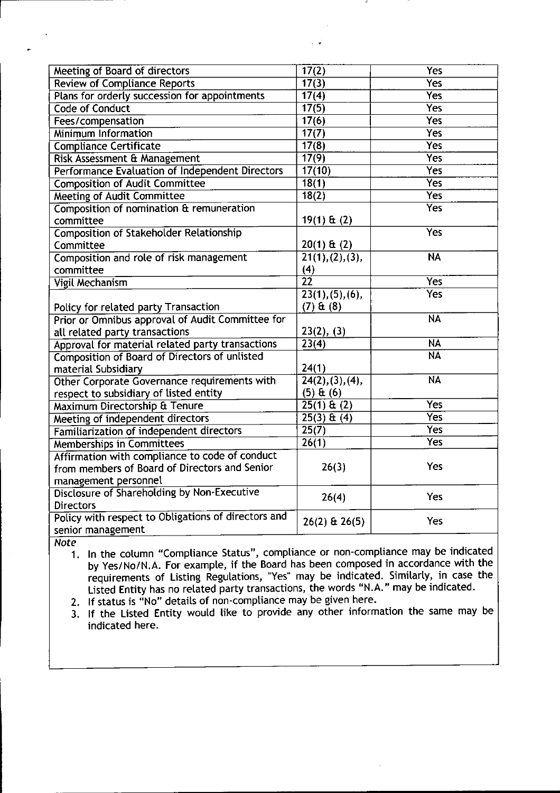| Meeting of Board of directors                       | 17(2)                         | Yes                      |
|-----------------------------------------------------|-------------------------------|--------------------------|
| <b>Review of Compliance Reports</b>                 | 17(3)                         | <b>Yes</b>               |
| Plans for orderly succession for appointments       | 17(4)                         | <b>Yes</b>               |
| <b>Code of Conduct</b>                              | 17(5)                         | Yes                      |
| Fees/compensation                                   | 17(6)                         | <b>Yes</b>               |
| <b>Minimum Information</b>                          | $\overline{17(7)}$            | Yes                      |
| <b>Compliance Certificate</b>                       | 17(8)                         | <b>Yes</b>               |
| Risk Assessment & Management                        | 17(9)                         | Yes                      |
| Performance Evaluation of Independent Directors     | 17(10)                        | Yes                      |
| <b>Composition of Audit Committee</b>               | 18(1)                         | Yes                      |
| Meeting of Audit Committee                          | 18(2)                         | Yes                      |
| Composition of nomination & remuneration            |                               | <b>Yes</b>               |
| committee                                           | $19(1)$ & (2)                 |                          |
| <b>Composition of Stakeholder Relationship</b>      |                               | <b>Yes</b>               |
| Committee                                           | $20(1)$ & $(2)$               |                          |
| Composition and role of risk management             | 21(1), (2), (3),              | $\overline{\mathsf{NA}}$ |
| committee                                           | (4)                           |                          |
| <b>Vigil Mechanism</b>                              | $\overline{22}$               | <b>Yes</b>               |
|                                                     | 23(1), (5), (6),              | <b>Yes</b>               |
| Policy for related party Transaction                | $(7)$ & $(8)$                 |                          |
| Prior or Omnibus approval of Audit Committee for    |                               | <b>NA</b>                |
| all related party transactions                      | 23(2), (3)                    |                          |
| Approval for material related party transactions    | 23(4)                         | <b>NA</b>                |
| Composition of Board of Directors of unlisted       |                               | <b>NA</b>                |
| material Subsidiary                                 | 24(1)                         |                          |
| Other Corporate Governance requirements with        | $\overline{24(2), (3), (4)},$ | <b>NA</b>                |
| respect to subsidiary of listed entity              | (5) <b>Et</b> (6)             |                          |
| Maximum Directorship & Tenure                       | $25(1)$ & (2)                 | Yes                      |
| Meeting of independent directors                    | $25(3) \& (4)$                | Yes <sup>-</sup>         |
| Familiarization of independent directors            | 25(7)                         | <b>Yes</b>               |
| <b>Memberships in Committees</b>                    | $\overline{26(1)}$            | <b>Yes</b>               |
| Affirmation with compliance to code of conduct      |                               |                          |
| from members of Board of Directors and Senior       | 26(3)                         | Yes                      |
| management personnel                                |                               |                          |
| Disclosure of Shareholding by Non-Executive         | 26(4)                         | Yes                      |
| <b>Directors</b>                                    |                               |                          |
| Policy with respect to Obligations of directors and | $26(2)$ & $26(5)$             | Yes                      |
| senior management                                   |                               |                          |

*Note*

1. In the column "Compliance Status", compliance or non-compliance may be indicate by YeslNo/N.A. For example, if the Board has been composed in accordance with the requirements of Listing Regulations, "Yes" may be indicated. Similarly, in case the Listed Entity has no related party transactions, the words "N.A." may be indicated.

2. If status is "No" details of non-compliance may be given here.

3. If the Listed Entity would like to provide any other information the same may be indicated here.